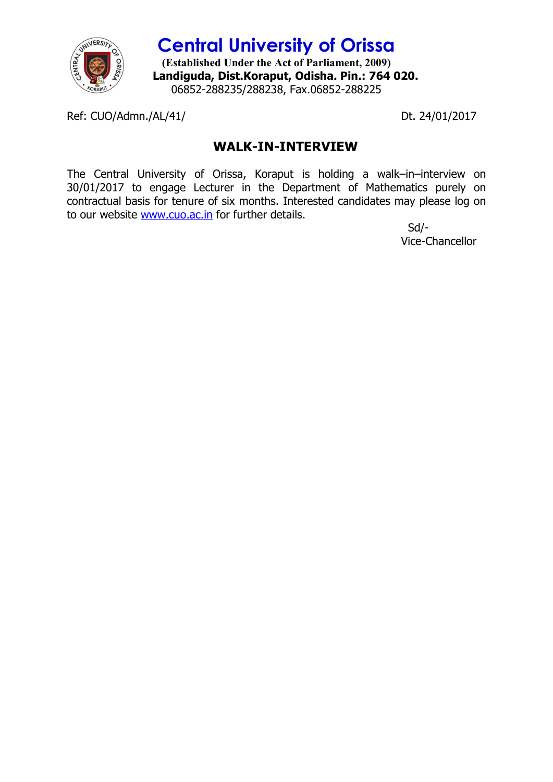

**Central University of Orissa (Established Under the Act of Parliament, 2009) Landiguda, Dist.Koraput, Odisha. Pin.: 764 020.** 06852-288235/288238, Fax.06852-288225

Ref: CUO/Admn./AL/41/ Dt. 24/01/2017

## **WALK-IN-INTERVIEW**

The Central University of Orissa, Koraput is holding a walk–in–interview on 30/01/2017 to engage Lecturer in the Department of Mathematics purely on contractual basis for tenure of six months. Interested candidates may please log on to our website www.cuo.ac.in for further details.

 Sd/- Vice-Chancellor